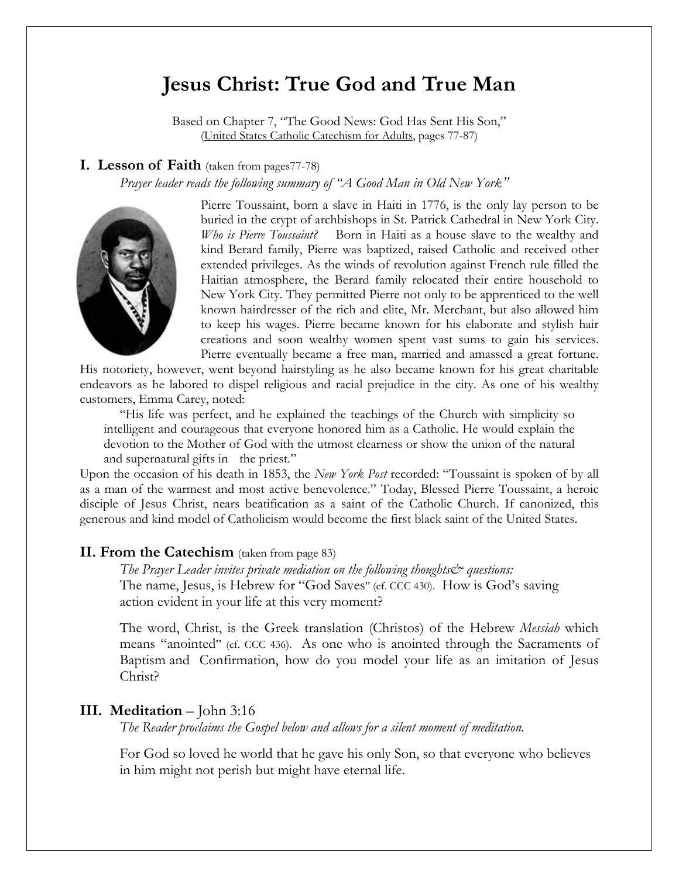# **Jesus Christ: True God and True Man**

Based on Chapter 7, "The Good News: God Has Sent His Son," (United States Catholic Catechism for Adults, pages 77-87)

### **I. Lesson of Faith** (taken from pages77-78)

 *Prayer leader reads the following summary of "A Good Man in Old New York"* 



Pierre Toussaint, born a slave in Haiti in 1776, is the only lay person to be buried in the crypt of archbishops in St. Patrick Cathedral in New York City. *Who is Pierre Toussaint?* Born in Haiti as a house slave to the wealthy and kind Berard family, Pierre was baptized, raised Catholic and received other extended privileges. As the winds of revolution against French rule filled the Haitian atmosphere, the Berard family relocated their entire household to New York City. They permitted Pierre not only to be apprenticed to the well known hairdresser of the rich and elite, Mr. Merchant, but also allowed him to keep his wages. Pierre became known for his elaborate and stylish hair creations and soon wealthy women spent vast sums to gain his services. Pierre eventually became a free man, married and amassed a great fortune.

His notoriety, however, went beyond hairstyling as he also became known for his great charitable endeavors as he labored to dispel religious and racial prejudice in the city. As one of his wealthy customers, Emma Carey, noted:

 "His life was perfect, and he explained the teachings of the Church with simplicity so intelligent and courageous that everyone honored him as a Catholic. He would explain the devotion to the Mother of God with the utmost clearness or show the union of the natural and supernatural gifts in the priest."

Upon the occasion of his death in 1853, the *New York Post* recorded: "Toussaint is spoken of by all as a man of the warmest and most active benevolence." Today, Blessed Pierre Toussaint, a heroic disciple of Jesus Christ, nears beatification as a saint of the Catholic Church. If canonized, this generous and kind model of Catholicism would become the first black saint of the United States.

### **II. From the Catechism** (taken from page 83)

*The Prayer Leader invites private mediation on the following thoughts questions:* The name, Jesus, is Hebrew for "God Saves" (cf. CCC 430). How is God's saving action evident in your life at this very moment?

 The word, Christ, is the Greek translation (Christos) of the Hebrew *Messiah* which means "anointed" (cf. CCC 436). As one who is anointed through the Sacraments of Baptism and Confirmation, how do you model your life as an imitation of Jesus Christ?

### **III. Meditation** – John 3:16

*The Reader proclaims the Gospel below and allows for a silent moment of meditation.* 

For God so loved he world that he gave his only Son, so that everyone who believes in him might not perish but might have eternal life.